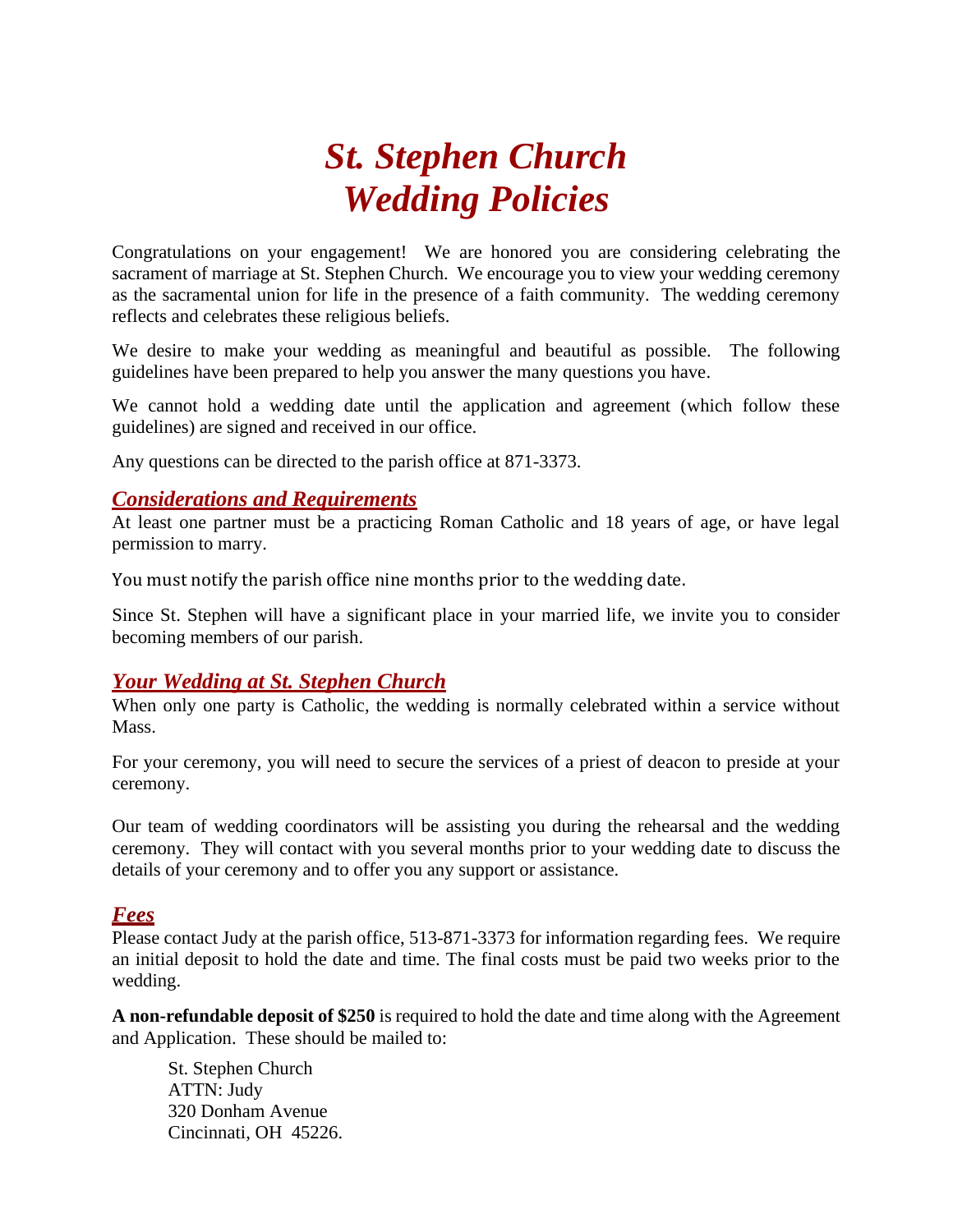## *St. Stephen Church Wedding Policies*

Congratulations on your engagement! We are honored you are considering celebrating the sacrament of marriage at St. Stephen Church. We encourage you to view your wedding ceremony as the sacramental union for life in the presence of a faith community. The wedding ceremony reflects and celebrates these religious beliefs.

We desire to make your wedding as meaningful and beautiful as possible. The following guidelines have been prepared to help you answer the many questions you have.

We cannot hold a wedding date until the application and agreement (which follow these guidelines) are signed and received in our office.

Any questions can be directed to the parish office at 871-3373.

#### *Considerations and Requirements*

At least one partner must be a practicing Roman Catholic and 18 years of age, or have legal permission to marry.

You must notify the parish office nine months prior to the wedding date.

Since St. Stephen will have a significant place in your married life, we invite you to consider becoming members of our parish.

#### *Your Wedding at St. Stephen Church*

When only one party is Catholic, the wedding is normally celebrated within a service without Mass.

For your ceremony, you will need to secure the services of a priest of deacon to preside at your ceremony.

Our team of wedding coordinators will be assisting you during the rehearsal and the wedding ceremony. They will contact with you several months prior to your wedding date to discuss the details of your ceremony and to offer you any support or assistance.

#### *Fees*

Please contact Judy at the parish office, 513-871-3373 for information regarding fees. We require an initial deposit to hold the date and time. The final costs must be paid two weeks prior to the wedding.

**A non-refundable deposit of \$250** is required to hold the date and time along with the Agreement and Application. These should be mailed to:

St. Stephen Church ATTN: Judy 320 Donham Avenue Cincinnati, OH 45226.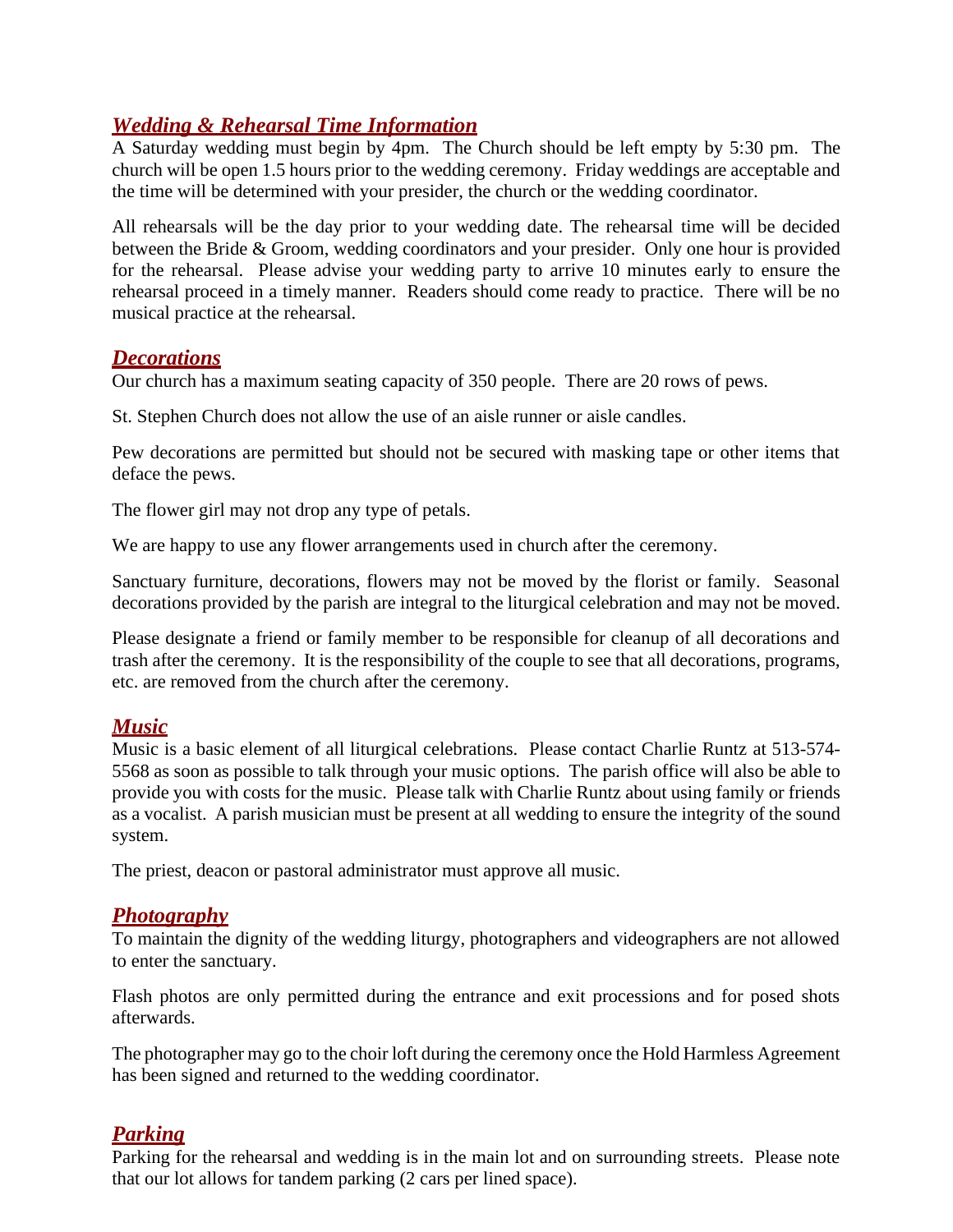#### *Wedding & Rehearsal Time Information*

A Saturday wedding must begin by 4pm. The Church should be left empty by 5:30 pm. The church will be open 1.5 hours prior to the wedding ceremony. Friday weddings are acceptable and the time will be determined with your presider, the church or the wedding coordinator.

All rehearsals will be the day prior to your wedding date. The rehearsal time will be decided between the Bride & Groom, wedding coordinators and your presider. Only one hour is provided for the rehearsal. Please advise your wedding party to arrive 10 minutes early to ensure the rehearsal proceed in a timely manner. Readers should come ready to practice. There will be no musical practice at the rehearsal.

#### *Decorations*

Our church has a maximum seating capacity of 350 people. There are 20 rows of pews.

St. Stephen Church does not allow the use of an aisle runner or aisle candles.

Pew decorations are permitted but should not be secured with masking tape or other items that deface the pews.

The flower girl may not drop any type of petals.

We are happy to use any flower arrangements used in church after the ceremony.

Sanctuary furniture, decorations, flowers may not be moved by the florist or family. Seasonal decorations provided by the parish are integral to the liturgical celebration and may not be moved.

Please designate a friend or family member to be responsible for cleanup of all decorations and trash after the ceremony. It is the responsibility of the couple to see that all decorations, programs, etc. are removed from the church after the ceremony.

#### *Music*

Music is a basic element of all liturgical celebrations. Please contact Charlie Runtz at 513-574- 5568 as soon as possible to talk through your music options. The parish office will also be able to provide you with costs for the music. Please talk with Charlie Runtz about using family or friends as a vocalist. A parish musician must be present at all wedding to ensure the integrity of the sound system.

The priest, deacon or pastoral administrator must approve all music.

#### *Photography*

To maintain the dignity of the wedding liturgy, photographers and videographers are not allowed to enter the sanctuary.

Flash photos are only permitted during the entrance and exit processions and for posed shots afterwards.

The photographer may go to the choir loft during the ceremony once the Hold Harmless Agreement has been signed and returned to the wedding coordinator.

### *Parking*

Parking for the rehearsal and wedding is in the main lot and on surrounding streets. Please note that our lot allows for tandem parking (2 cars per lined space).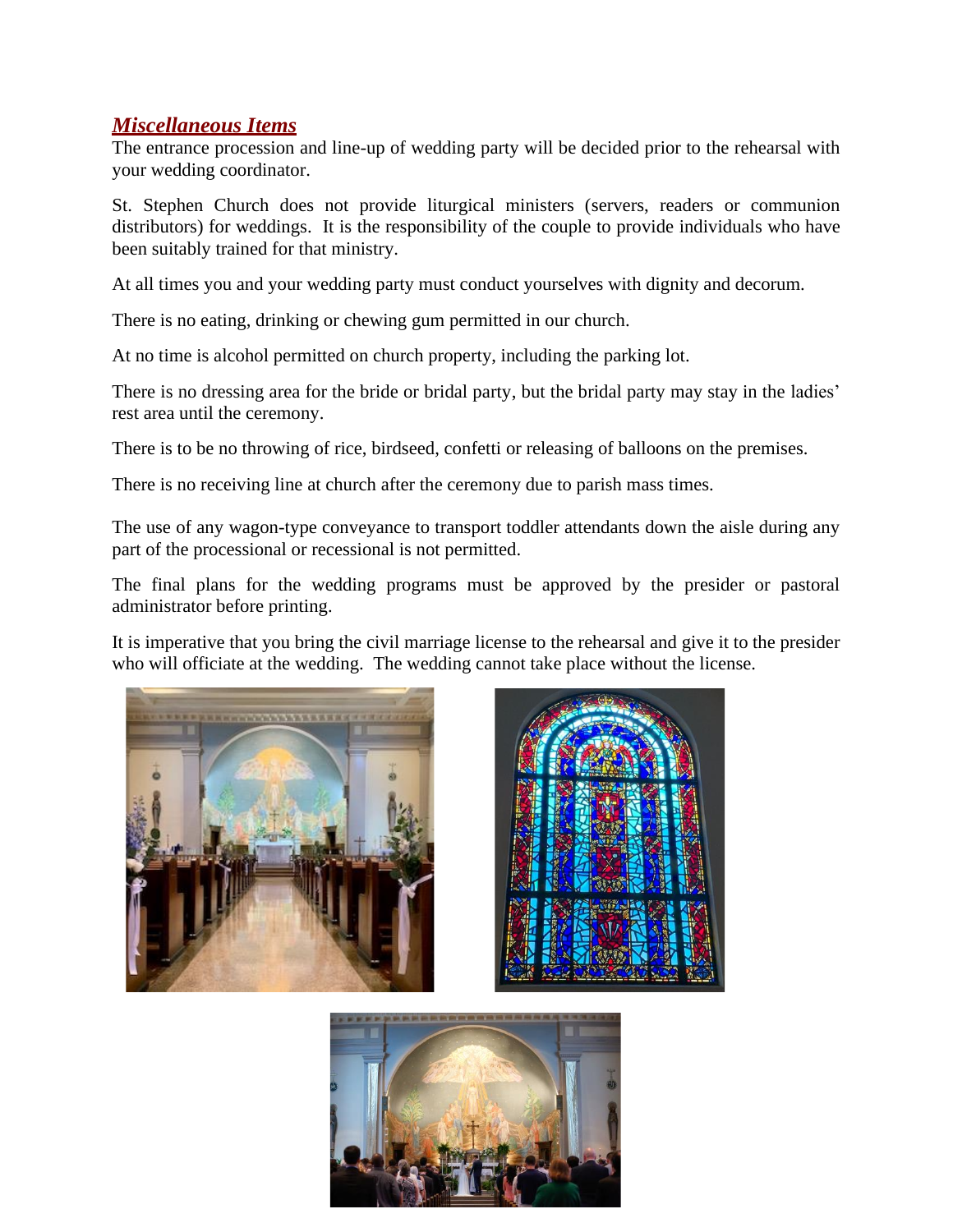#### *Miscellaneous Items*

The entrance procession and line-up of wedding party will be decided prior to the rehearsal with your wedding coordinator.

St. Stephen Church does not provide liturgical ministers (servers, readers or communion distributors) for weddings. It is the responsibility of the couple to provide individuals who have been suitably trained for that ministry.

At all times you and your wedding party must conduct yourselves with dignity and decorum.

There is no eating, drinking or chewing gum permitted in our church.

At no time is alcohol permitted on church property, including the parking lot.

There is no dressing area for the bride or bridal party, but the bridal party may stay in the ladies' rest area until the ceremony.

There is to be no throwing of rice, birdseed, confetti or releasing of balloons on the premises.

There is no receiving line at church after the ceremony due to parish mass times.

The use of any wagon-type conveyance to transport toddler attendants down the aisle during any part of the processional or recessional is not permitted.

The final plans for the wedding programs must be approved by the presider or pastoral administrator before printing.

It is imperative that you bring the civil marriage license to the rehearsal and give it to the presider who will officiate at the wedding. The wedding cannot take place without the license.





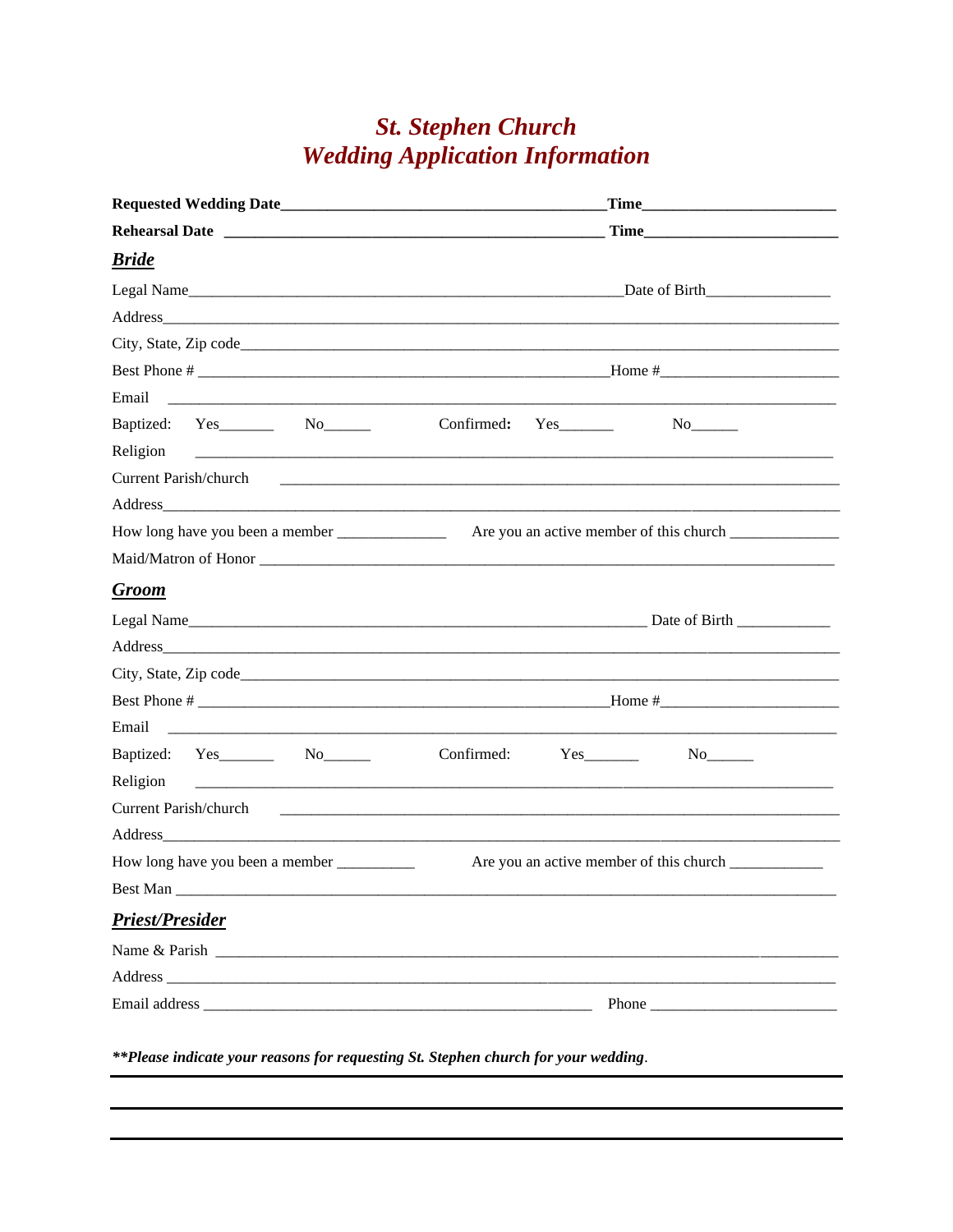# St. Stephen Church<br>Wedding Application Information

|                                                                                                                  | Time                                                                                                                 |  |
|------------------------------------------------------------------------------------------------------------------|----------------------------------------------------------------------------------------------------------------------|--|
|                                                                                                                  | Time                                                                                                                 |  |
| <b>Bride</b>                                                                                                     |                                                                                                                      |  |
|                                                                                                                  | Date of Birth                                                                                                        |  |
|                                                                                                                  |                                                                                                                      |  |
|                                                                                                                  |                                                                                                                      |  |
|                                                                                                                  |                                                                                                                      |  |
| Email                                                                                                            | <u> 1989 - Jan Barnett, mars ann an t-Amerikaansk ferfinger om de formale formale for de formale formale formale</u> |  |
| Baptized: Yes No                                                                                                 | Confirmed: Yes<br>$No$ <sub>________</sub>                                                                           |  |
| Religion                                                                                                         | <u> 1980 - Jan Alexander de Carlos III (m. 1980).</u>                                                                |  |
| <b>Current Parish/church</b>                                                                                     |                                                                                                                      |  |
|                                                                                                                  |                                                                                                                      |  |
|                                                                                                                  |                                                                                                                      |  |
|                                                                                                                  |                                                                                                                      |  |
| <b>Groom</b>                                                                                                     |                                                                                                                      |  |
|                                                                                                                  |                                                                                                                      |  |
|                                                                                                                  |                                                                                                                      |  |
|                                                                                                                  |                                                                                                                      |  |
|                                                                                                                  |                                                                                                                      |  |
| Email                                                                                                            |                                                                                                                      |  |
| Baptized: Yes<br>$No$ <sub>_________</sub>                                                                       | Confirmed:                                                                                                           |  |
|                                                                                                                  |                                                                                                                      |  |
| <b>Current Parish/church</b>                                                                                     |                                                                                                                      |  |
| Address Andreas Address Address Address Andreas Address Address Address Address Andres Address Address Address A |                                                                                                                      |  |
|                                                                                                                  |                                                                                                                      |  |
| Best Man                                                                                                         |                                                                                                                      |  |
| <b>Priest/Presider</b>                                                                                           |                                                                                                                      |  |
|                                                                                                                  |                                                                                                                      |  |
|                                                                                                                  |                                                                                                                      |  |
|                                                                                                                  | Phone                                                                                                                |  |

\*\*Please indicate your reasons for requesting St. Stephen church for your wedding.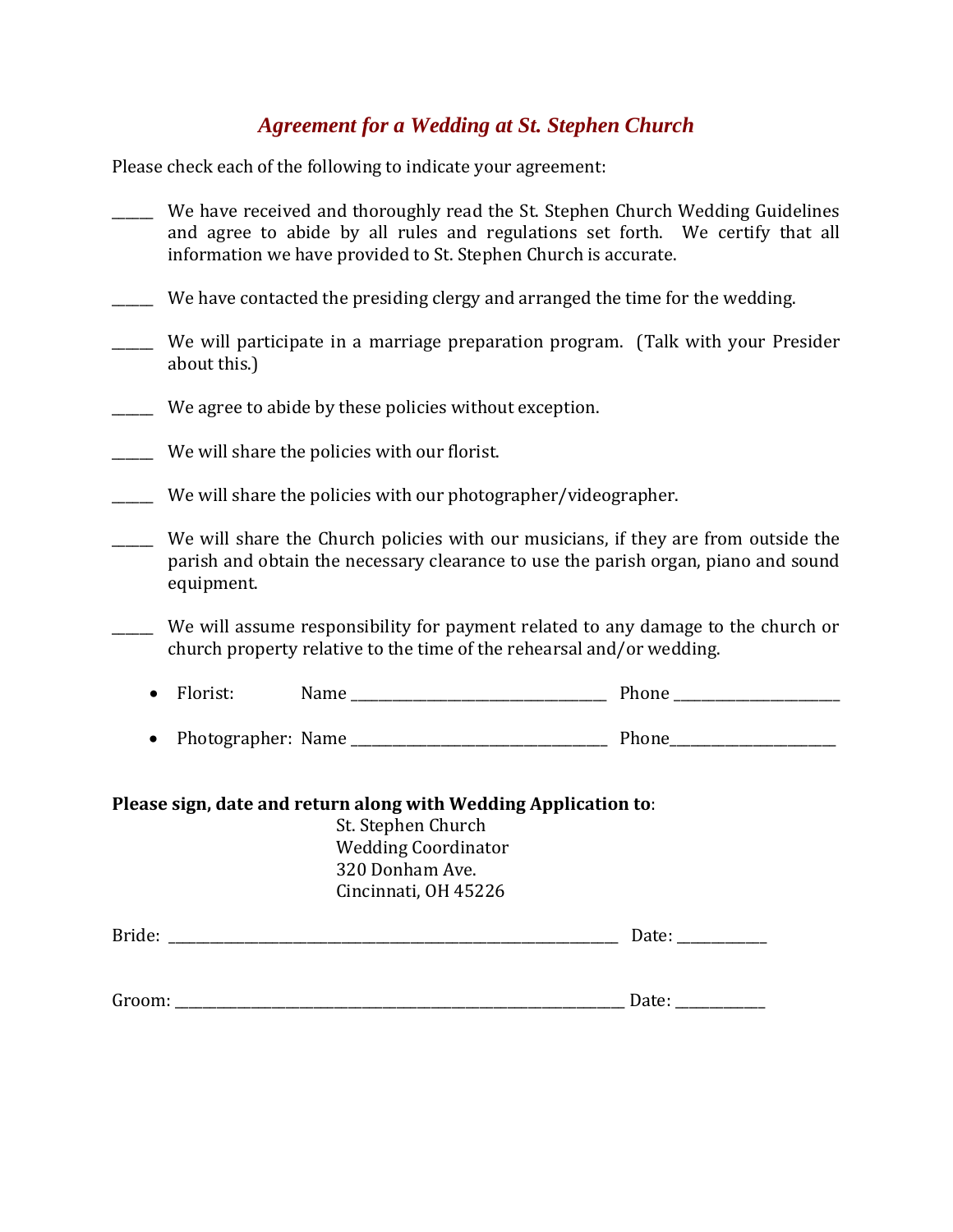### *Agreement for a Wedding at St. Stephen Church*

Please check each of the following to indicate your agreement:

- \_\_\_\_\_\_ We have received and thoroughly read the St. Stephen Church Wedding Guidelines and agree to abide by all rules and regulations set forth. We certify that all information we have provided to St. Stephen Church is accurate.
- \_\_\_\_\_\_ We have contacted the presiding clergy and arranged the time for the wedding.
- \_\_\_\_\_\_ We will participate in a marriage preparation program. (Talk with your Presider about this.)
- \_\_\_\_\_\_ We agree to abide by these policies without exception.
- \_\_\_\_\_\_ We will share the policies with our florist.
- \_\_\_\_\_\_ We will share the policies with our photographer/videographer.
- \_\_\_\_\_\_ We will share the Church policies with our musicians, if they are from outside the parish and obtain the necessary clearance to use the parish organ, piano and sound equipment.
- We will assume responsibility for payment related to any damage to the church or church property relative to the time of the rehearsal and/or wedding.

| $\epsilon$ | . <b>.</b><br>.<br>------- | $- - -$<br>ורו<br><br>_______ | $\overline{\phantom{a}}$<br>----<br>.<br>.<br>-<br>______ |
|------------|----------------------------|-------------------------------|-----------------------------------------------------------|
|------------|----------------------------|-------------------------------|-----------------------------------------------------------|

• Photographer: Name \_\_\_\_\_\_\_\_\_\_\_\_\_\_\_\_\_\_\_\_\_\_\_\_\_\_\_\_\_\_\_\_\_\_\_\_\_ Phone\_\_\_\_\_\_\_\_\_\_\_\_\_\_\_\_\_\_\_\_\_\_\_\_

#### **Please sign, date and return along with Wedding Application to**:

St. Stephen Church Wedding Coordinator 320 Donham Ave. Cincinnati, OH 45226

| $\mathbf{D}$ .<br><b>Briue</b> | ____ | _ |
|--------------------------------|------|---|
|                                |      |   |

| $\mathbf{u}$ rr<br><b>OUIII.</b><br>. u ce<br>- |
|-------------------------------------------------|
|-------------------------------------------------|